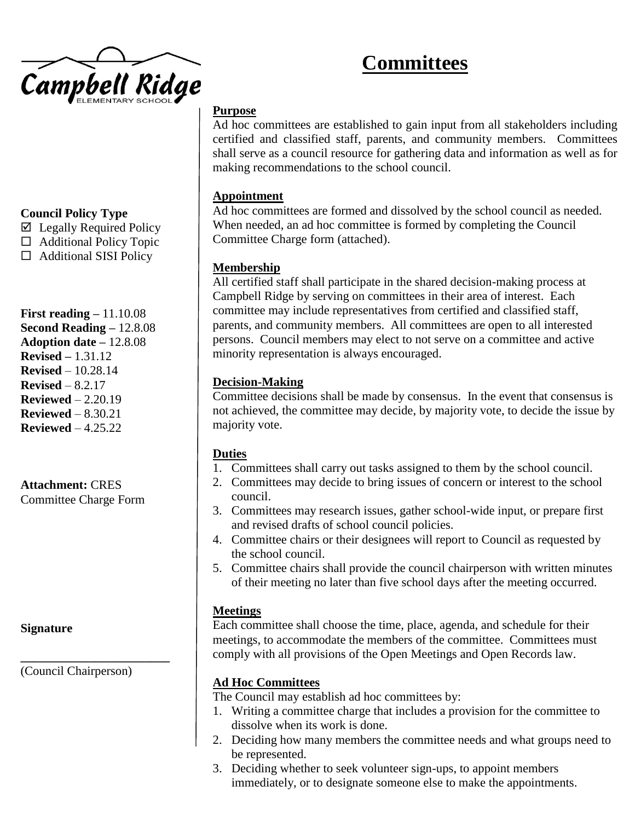

# **Committees**

## **Purpose**

Ad hoc committees are established to gain input from all stakeholders including certified and classified staff, parents, and community members. Committees shall serve as a council resource for gathering data and information as well as for making recommendations to the school council.

#### **Appointment**

Ad hoc committees are formed and dissolved by the school council as needed. When needed, an ad hoc committee is formed by completing the Council Committee Charge form (attached).

## **Membership**

All certified staff shall participate in the shared decision-making process at Campbell Ridge by serving on committees in their area of interest. Each committee may include representatives from certified and classified staff, parents, and community members. All committees are open to all interested persons. Council members may elect to not serve on a committee and active minority representation is always encouraged.

## **Decision-Making**

Committee decisions shall be made by consensus. In the event that consensus is not achieved, the committee may decide, by majority vote, to decide the issue by majority vote.

#### **Duties**

- 1. Committees shall carry out tasks assigned to them by the school council.
- 2. Committees may decide to bring issues of concern or interest to the school council.
- 3. Committees may research issues, gather school-wide input, or prepare first and revised drafts of school council policies.
- 4. Committee chairs or their designees will report to Council as requested by the school council.
- 5. Committee chairs shall provide the council chairperson with written minutes of their meeting no later than five school days after the meeting occurred.

# **Meetings**

Each committee shall choose the time, place, agenda, and schedule for their meetings, to accommodate the members of the committee. Committees must comply with all provisions of the Open Meetings and Open Records law.

# **Ad Hoc Committees**

The Council may establish ad hoc committees by:

- 1. Writing a committee charge that includes a provision for the committee to dissolve when its work is done.
- 2. Deciding how many members the committee needs and what groups need to be represented.
- 3. Deciding whether to seek volunteer sign-ups, to appoint members immediately, or to designate someone else to make the appointments.

# **Council Policy Type**

 $\boxtimes$  Legally Required Policy

- $\Box$  Additional Policy Topic
- $\Box$  Additional SISI Policy

**First reading –** 11.10.08 **Second Reading –** 12.8.08 **Adoption date –** 12.8.08 **Revised –** 1.31.12 **Revised** – 10.28.14 **Revised** – 8.2.17 **Reviewed** – 2.20.19 **Reviewed** – 8.30.21 **Reviewed** – 4.25.22

# **Attachment:** CRES

Committee Charge Form

**Signature**

(Council Chairperson)

**\_\_\_\_\_\_\_\_\_\_\_\_\_\_\_\_\_\_\_\_\_\_\_\_**